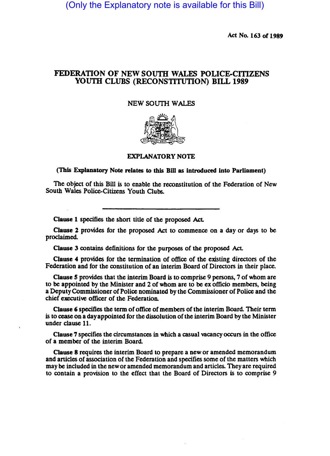(Only the Explanatory note is available for this Bill)

Act No. 163 or 1989

## FEDERATION OF NEW SOUTH WALES POLICE-CITIZENS YOUTH CLUBS (RECONSTITUTION) BILL 1989

## NEW SOUTH WALES



## EXPLANATORY NOTE

## (This Explanatory Note relates to this BlII as introduced into Parliament)

The object of this Bill is to enable the reconstitution of the Federation of New South Wales Police-Citizens Youth Clubs.

Clause 1 specifies the short title of the proposed Act.

Clause 2 provides for the proposed Act to commence on a day or days to be proclaimed.

Clause 3 contains definitions for the purposes of the proposed Act.

Clause 4 provides for the termination of office of the existing directors of the Federation and for the constitution of an interim Board of Directors in their place.

Clause *S* provides that the interim Board is to comprise 9 persons, 7 of whom are to be appointed by the Minister and 2 of whom are to be ex officio members, being a Deputy Commissioner of Police nominated by the Commissioner of Police and the chief executive officer of the Federation.

Clause 6 specifies the term of office of members of the interim Board. Their term is to cease on a day appointed for the dissolution of the interim Board by the Minister under clause 11.

Clause 7 specifies the circumstances in which a casual vacancy occurs in the office of a member of the interim Board.

Clause 8 requires the interim Board to prepare a new or amended memorandum and articles of association of the Federation and specifies some of the matters which may be included in the new or amended memorandum and articles. They are required to contain a provision to the effect that the Board of Directors is to comprise 9